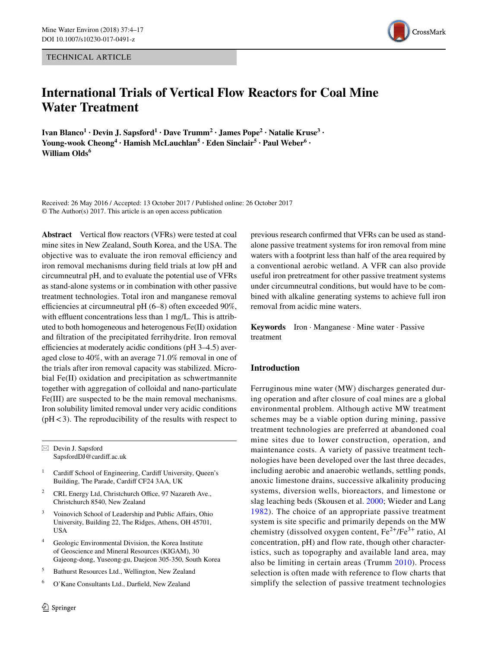TECHNICAL ARTICLE



# **International Trials of Vertical Flow Reactors for Coal Mine Water Treatment**

**Ivan Blanco<sup>1</sup> · Devin J. Sapsford<sup>1</sup> · Dave Trumm<sup>2</sup> · James Pope<sup>2</sup> · Natalie Kruse<sup>3</sup> ·** Young-wook Cheong<sup>4</sup> • Hamish McLauchlan<sup>5</sup> • Eden Sinclair<sup>5</sup> • Paul Weber<sup>6</sup> • **William Olds<sup>6</sup>**

Received: 26 May 2016 / Accepted: 13 October 2017 / Published online: 26 October 2017 © The Author(s) 2017. This article is an open access publication

**Abstract** Vertical flow reactors (VFRs) were tested at coal mine sites in New Zealand, South Korea, and the USA. The objective was to evaluate the iron removal efficiency and iron removal mechanisms during field trials at low pH and circumneutral pH, and to evaluate the potential use of VFRs as stand-alone systems or in combination with other passive treatment technologies. Total iron and manganese removal efficiencies at circumneutral pH (6–8) often exceeded 90%, with effluent concentrations less than 1 mg/L. This is attributed to both homogeneous and heterogenous Fe(II) oxidation and filtration of the precipitated ferrihydrite. Iron removal efficiencies at moderately acidic conditions (pH 3–4.5) averaged close to 40%, with an average 71.0% removal in one of the trials after iron removal capacity was stabilized. Microbial Fe(II) oxidation and precipitation as schwertmannite together with aggregation of colloidal and nano-particulate Fe(III) are suspected to be the main removal mechanisms. Iron solubility limited removal under very acidic conditions  $(pH < 3)$ . The reproducibility of the results with respect to

 $\boxtimes$  Devin J. Sapsford SapsfordDJ@cardiff.ac.uk

- <sup>1</sup> Cardiff School of Engineering, Cardiff University, Queen's Building, The Parade, Cardiff CF24 3AA, UK
- <sup>2</sup> CRL Energy Ltd, Christchurch Office, 97 Nazareth Ave., Christchurch 8540, New Zealand
- Voinovich School of Leadership and Public Affairs, Ohio University, Building 22, The Ridges, Athens, OH 45701, USA
- <sup>4</sup> Geologic Environmental Division, the Korea Institute of Geoscience and Mineral Resources (KIGAM), 30 Gajeong-dong, Yuseong-gu, Daejeon 305-350, South Korea
- <sup>5</sup> Bathurst Resources Ltd., Wellington, New Zealand
- <sup>6</sup> O'Kane Consultants Ltd., Darfield, New Zealand

previous research confirmed that VFRs can be used as standalone passive treatment systems for iron removal from mine waters with a footprint less than half of the area required by a conventional aerobic wetland. A VFR can also provide useful iron pretreatment for other passive treatment systems under circumneutral conditions, but would have to be combined with alkaline generating systems to achieve full iron removal from acidic mine waters.

**Keywords** Iron · Manganese · Mine water · Passive treatment

## **Introduction**

Ferruginous mine water (MW) discharges generated during operation and after closure of coal mines are a global environmental problem. Although active MW treatment schemes may be a viable option during mining, passive treatment technologies are preferred at abandoned coal mine sites due to lower construction, operation, and maintenance costs. A variety of passive treatment technologies have been developed over the last three decades, including aerobic and anaerobic wetlands, settling ponds, anoxic limestone drains, successive alkalinity producing systems, diversion wells, bioreactors, and limestone or slag leaching beds (Skousen et al. [2000;](#page-13-0) Wieder and Lang [1982\)](#page-13-1). The choice of an appropriate passive treatment system is site specific and primarily depends on the MW chemistry (dissolved oxygen content,  $Fe^{2+}/Fe^{3+}$  ratio, Al concentration, pH) and flow rate, though other characteristics, such as topography and available land area, may also be limiting in certain areas (Trumm [2010\)](#page-13-2). Process selection is often made with reference to flow charts that simplify the selection of passive treatment technologies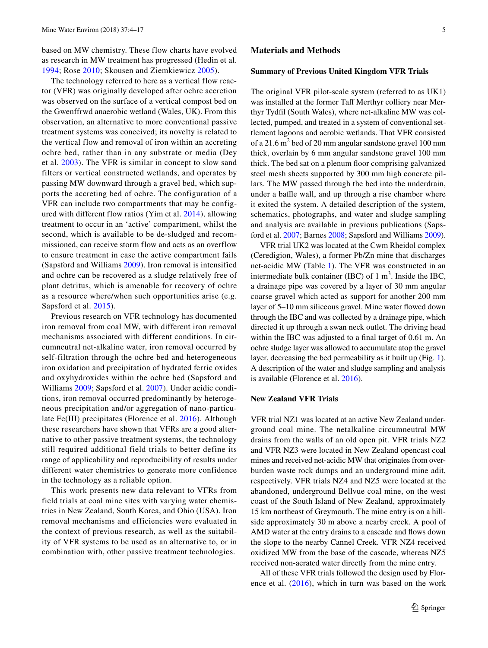based on MW chemistry. These flow charts have evolved as research in MW treatment has progressed (Hedin et al. [1994](#page-12-0); Rose [2010](#page-12-1); Skousen and Ziemkiewicz [2005\)](#page-13-3).

The technology referred to here as a vertical flow reactor (VFR) was originally developed after ochre accretion was observed on the surface of a vertical compost bed on the Gwenffrwd anaerobic wetland (Wales, UK). From this observation, an alternative to more conventional passive treatment systems was conceived; its novelty is related to the vertical flow and removal of iron within an accreting ochre bed, rather than in any substrate or media (Dey et al. [2003\)](#page-12-2). The VFR is similar in concept to slow sand filters or vertical constructed wetlands, and operates by passing MW downward through a gravel bed, which supports the accreting bed of ochre. The configuration of a VFR can include two compartments that may be configured with different flow ratios (Yim et al. [2014\)](#page-13-4), allowing treatment to occur in an 'active' compartment, whilst the second, which is available to be de-sludged and recommissioned, can receive storm flow and acts as an overflow to ensure treatment in case the active compartment fails (Sapsford and Williams [2009\)](#page-13-5). Iron removal is intensified and ochre can be recovered as a sludge relatively free of plant detritus, which is amenable for recovery of ochre as a resource where/when such opportunities arise (e.g. Sapsford et al. [2015](#page-13-6)).

Previous research on VFR technology has documented iron removal from coal MW, with different iron removal mechanisms associated with different conditions. In circumneutral net-alkaline water, iron removal occurred by self-filtration through the ochre bed and heterogeneous iron oxidation and precipitation of hydrated ferric oxides and oxyhydroxides within the ochre bed (Sapsford and Williams [2009;](#page-13-5) Sapsford et al. [2007](#page-13-7)). Under acidic conditions, iron removal occurred predominantly by heterogeneous precipitation and/or aggregation of nano-particulate Fe(III) precipitates (Florence et al. [2016](#page-12-3)). Although these researchers have shown that VFRs are a good alternative to other passive treatment systems, the technology still required additional field trials to better define its range of applicability and reproducibility of results under different water chemistries to generate more confidence in the technology as a reliable option.

This work presents new data relevant to VFRs from field trials at coal mine sites with varying water chemistries in New Zealand, South Korea, and Ohio (USA). Iron removal mechanisms and efficiencies were evaluated in the context of previous research, as well as the suitability of VFR systems to be used as an alternative to, or in combination with, other passive treatment technologies.

#### **Materials and Methods**

#### **Summary of Previous United Kingdom VFR Trials**

The original VFR pilot-scale system (referred to as UK1) was installed at the former Taff Merthyr colliery near Merthyr Tydfil (South Wales), where net-alkaline MW was collected, pumped, and treated in a system of conventional settlement lagoons and aerobic wetlands. That VFR consisted of a 21.6  $m<sup>2</sup>$  bed of 20 mm angular sandstone gravel 100 mm thick, overlain by 6 mm angular sandstone gravel 100 mm thick. The bed sat on a plenum floor comprising galvanized steel mesh sheets supported by 300 mm high concrete pillars. The MW passed through the bed into the underdrain, under a baffle wall, and up through a rise chamber where it exited the system. A detailed description of the system, schematics, photographs, and water and sludge sampling and analysis are available in previous publications (Sapsford et al. [2007;](#page-13-7) Barnes [2008;](#page-12-4) Sapsford and Williams [2009](#page-13-5)).

VFR trial UK2 was located at the Cwm Rheidol complex (Ceredigion, Wales), a former Pb/Zn mine that discharges net-acidic MW (Table [1](#page-2-0)). The VFR was constructed in an intermediate bulk container (IBC) of  $1 \text{ m}^3$ . Inside the IBC, a drainage pipe was covered by a layer of 30 mm angular coarse gravel which acted as support for another 200 mm layer of 5–10 mm siliceous gravel. Mine water flowed down through the IBC and was collected by a drainage pipe, which directed it up through a swan neck outlet. The driving head within the IBC was adjusted to a final target of 0.61 m. An ochre sludge layer was allowed to accumulate atop the gravel layer, decreasing the bed permeability as it built up (Fig. [1](#page-3-0)). A description of the water and sludge sampling and analysis is available (Florence et al. [2016](#page-12-3)).

#### **New Zealand VFR Trials**

VFR trial NZ1 was located at an active New Zealand underground coal mine. The netalkaline circumneutral MW drains from the walls of an old open pit. VFR trials NZ2 and VFR NZ3 were located in New Zealand opencast coal mines and received net-acidic MW that originates from overburden waste rock dumps and an underground mine adit, respectively. VFR trials NZ4 and NZ5 were located at the abandoned, underground Bellvue coal mine, on the west coast of the South Island of New Zealand, approximately 15 km northeast of Greymouth. The mine entry is on a hillside approximately 30 m above a nearby creek. A pool of AMD water at the entry drains to a cascade and flows down the slope to the nearby Cannel Creek. VFR NZ4 received oxidized MW from the base of the cascade, whereas NZ5 received non-aerated water directly from the mine entry.

All of these VFR trials followed the design used by Florence et al.  $(2016)$  $(2016)$  $(2016)$ , which in turn was based on the work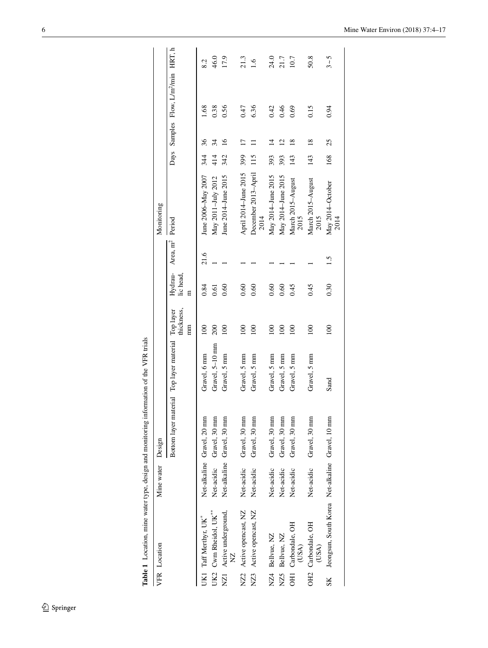|              |                                                    | 8.2                        | 46.0                              | 17.9                                        | 21.3                     | $\tilde{S}$                 | 24.0               | 21.7               | 10.7                        | 50.8                      | $3~\sim 5$                                          |
|--------------|----------------------------------------------------|----------------------------|-----------------------------------|---------------------------------------------|--------------------------|-----------------------------|--------------------|--------------------|-----------------------------|---------------------------|-----------------------------------------------------|
|              | Days Samples Flow, L/m <sup>2</sup> /min HRT, h    | 1.68                       | 0.38                              | 0.56                                        | 0.47                     | 6.36                        | 0.42               | 0.46               | 0.69                        | 0.15                      | 0.94                                                |
|              |                                                    |                            |                                   |                                             |                          |                             |                    |                    |                             |                           |                                                     |
|              |                                                    | 36                         | 34                                | $\frac{6}{2}$                               | $\overline{\phantom{0}}$ |                             | ⋣                  | S                  | $\frac{8}{2}$               | $\frac{8}{18}$            | 25                                                  |
|              |                                                    | 344                        | 414                               | 342                                         | 399                      | 115                         | 393                | 393                | 143                         | 143                       | 168                                                 |
| Monitoring   |                                                    | June 2006–May 2007         | May 2011-July 2012                | June 2014–June 2015                         | April 2014-June 2015     | December 2013-April<br>2014 | May 2014-June 2015 | May 2014–June 2015 | March 2015-August<br>2015   | March 2015-August<br>2015 | May 2014-October<br>2014                            |
|              | Hydrau- Area, m <sup>2</sup> Period                | 21.6                       |                                   |                                             |                          |                             |                    |                    |                             |                           | 1.5                                                 |
|              | lic head,<br>E                                     | 0.84                       | 0.61                              | 0.60                                        | 0.60                     | 0.60                        | 0.60               | 0.60               | 0.45                        | 0.45                      | 0.30                                                |
|              | thickness,<br>$\mathbb{H}$                         | $\overline{0}$             | 200                               | $\approx$                                   | $\approx$                | 100                         | 100                | 100                | $\overline{100}$            | $\overline{00}$           | 100                                                 |
|              |                                                    | Gravel, 6 mm               | Gravel, 5-10 mm                   | Gravel, 5 mm                                | Gravel, 5 mm             | Gravel, 5 mm                | Gravel, 5 mm       | Gravel, 5 mm       | Gravel, 5 mm                | Gravel, 5 mm              | Sand                                                |
| Design       | Bottom layer material Top layer material Top layer | Net-alkaline Gravel, 20 mm | Net-acidic Gravel, 30 mm          | Net-alkaline Gravel, 30 mm                  | Gravel, 30 mm            | Gravel, 30 mm               | Gravel, 30 mm      | Gravel, 30 mm      | Gravel, 30 mm               | Gravel, 30 mm             |                                                     |
| Mine water   |                                                    |                            |                                   |                                             | Net-acidic               | Net-acidic                  | Net-acidic         | Net-acidic         | Net-acidic                  | Net-acidic                |                                                     |
| VFR Location |                                                    | UK1 Taff Merthyr, UK*      | UK2 Cwm Rheidol, UK <sup>**</sup> | NZ1 Active underground,<br>$\sum_{i=1}^{n}$ | NZ2 Active opencast, NZ  | NZ3 Active opencast, NZ     | NZ4 Bellvue, NZ    | NZ5 Bellvue, NZ    | OH1 Carbondale, OH<br>(USA) | Carbondale, OH<br>(USA)   | SK Jeongsun, South Korea Net-alkaline Gravel, 10 mm |
|              |                                                    |                            |                                   |                                             |                          |                             |                    |                    |                             | <b>OH2</b>                |                                                     |

<span id="page-2-0"></span>Table 1 Location, mine water type, design and monitoring information of the VFR trials **Table 1** Location, mine water type, design and monitoring information of the VFR trials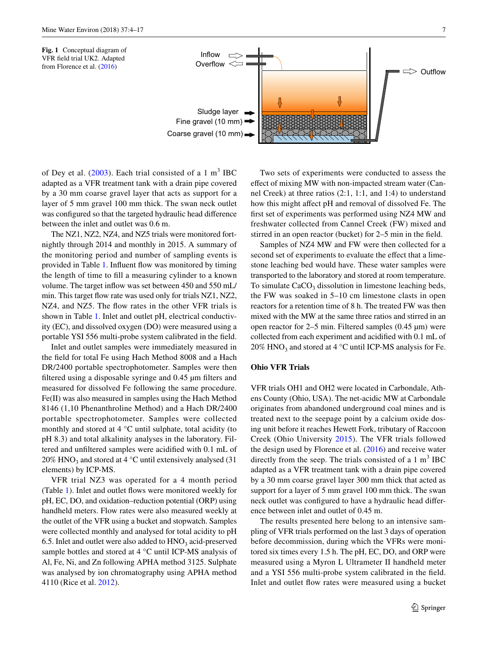

<span id="page-3-0"></span>

of Dey et al.  $(2003)$  $(2003)$ . Each trial consisted of a 1 m<sup>3</sup> IBC adapted as a VFR treatment tank with a drain pipe covered by a 30 mm coarse gravel layer that acts as support for a layer of 5 mm gravel 100 mm thick. The swan neck outlet was configured so that the targeted hydraulic head difference between the inlet and outlet was 0.6 m.

The NZ1, NZ2, NZ4, and NZ5 trials were monitored fortnightly through 2014 and monthly in 2015. A summary of the monitoring period and number of sampling events is provided in Table [1.](#page-2-0) Influent flow was monitored by timing the length of time to fill a measuring cylinder to a known volume. The target inflow was set between 450 and 550 mL/ min. This target flow rate was used only for trials NZ1, NZ2, NZ4, and NZ5. The flow rates in the other VFR trials is shown in Table [1](#page-2-0). Inlet and outlet pH, electrical conductivity (EC), and dissolved oxygen (DO) were measured using a portable YSI 556 multi-probe system calibrated in the field.

Inlet and outlet samples were immediately measured in the field for total Fe using Hach Method 8008 and a Hach DR/2400 portable spectrophotometer. Samples were then filtered using a disposable syringe and 0.45 µm filters and measured for dissolved Fe following the same procedure. Fe(II) was also measured in samples using the Hach Method 8146 (1,10 Phenanthroline Method) and a Hach DR/2400 portable spectrophotometer. Samples were collected monthly and stored at 4 °C until sulphate, total acidity (to pH 8.3) and total alkalinity analyses in the laboratory. Filtered and unfiltered samples were acidified with 0.1 mL of 20% HNO<sub>3</sub> and stored at 4  $\degree$ C until extensively analysed (31) elements) by ICP-MS.

VFR trial NZ3 was operated for a 4 month period (Table [1\)](#page-2-0). Inlet and outlet flows were monitored weekly for pH, EC, DO, and oxidation–reduction potential (ORP) using handheld meters. Flow rates were also measured weekly at the outlet of the VFR using a bucket and stopwatch. Samples were collected monthly and analysed for total acidity to pH 6.5. Inlet and outlet were also added to  $HNO<sub>3</sub>$  acid-preserved sample bottles and stored at 4 °C until ICP-MS analysis of Al, Fe, Ni, and Zn following APHA method 3125. Sulphate was analysed by ion chromatography using APHA method 4110 (Rice et al. [2012](#page-12-5)).

Two sets of experiments were conducted to assess the effect of mixing MW with non-impacted stream water (Cannel Creek) at three ratios (2:1, 1:1, and 1:4) to understand how this might affect pH and removal of dissolved Fe. The first set of experiments was performed using NZ4 MW and freshwater collected from Cannel Creek (FW) mixed and stirred in an open reactor (bucket) for 2–5 min in the field.

Samples of NZ4 MW and FW were then collected for a second set of experiments to evaluate the effect that a limestone leaching bed would have. These water samples were transported to the laboratory and stored at room temperature. To simulate  $CaCO<sub>3</sub>$  dissolution in limestone leaching beds, the FW was soaked in 5–10 cm limestone clasts in open reactors for a retention time of 8 h. The treated FW was then mixed with the MW at the same three ratios and stirred in an open reactor for 2–5 min. Filtered samples (0.45 µm) were collected from each experiment and acidified with 0.1 mL of 20% HNO<sub>3</sub> and stored at 4  $\degree$ C until ICP-MS analysis for Fe.

## **Ohio VFR Trials**

VFR trials OH1 and OH2 were located in Carbondale, Athens County (Ohio, USA). The net-acidic MW at Carbondale originates from abandoned underground coal mines and is treated next to the seepage point by a calcium oxide dosing unit before it reaches Hewett Fork, tributary of Raccoon Creek (Ohio University [2015](#page-12-6)). The VFR trials followed the design used by Florence et al. [\(2016](#page-12-3)) and receive water directly from the seep. The trials consisted of a  $1 \text{ m}^3 \text{ IBC}$ adapted as a VFR treatment tank with a drain pipe covered by a 30 mm coarse gravel layer 300 mm thick that acted as support for a layer of 5 mm gravel 100 mm thick. The swan neck outlet was configured to have a hydraulic head difference between inlet and outlet of 0.45 m.

The results presented here belong to an intensive sampling of VFR trials performed on the last 3 days of operation before decommission, during which the VFRs were monitored six times every 1.5 h. The pH, EC, DO, and ORP were measured using a Myron L Ultrameter II handheld meter and a YSI 556 multi-probe system calibrated in the field. Inlet and outlet flow rates were measured using a bucket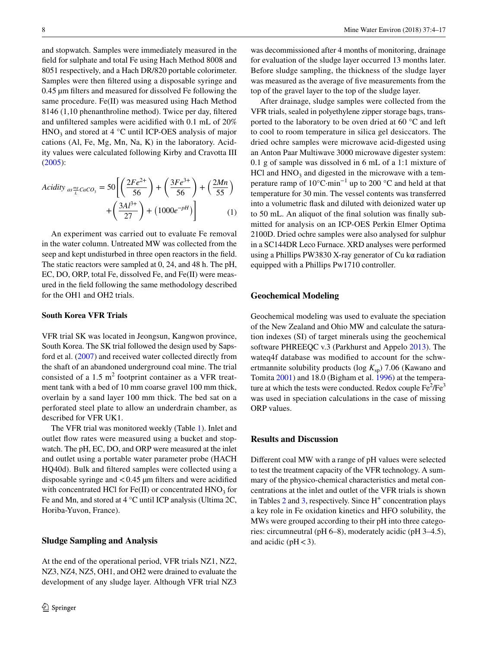and stopwatch. Samples were immediately measured in the field for sulphate and total Fe using Hach Method 8008 and 8051 respectively, and a Hach DR/820 portable colorimeter. Samples were then filtered using a disposable syringe and 0.45 µm filters and measured for dissolved Fe following the same procedure. Fe(II) was measured using Hach Method 8146 (1,10 phenanthroline method). Twice per day, filtered and unfiltered samples were acidified with 0.1 mL of 20%  $HNO<sub>3</sub>$  and stored at 4 °C until ICP-OES analysis of major cations (Al, Fe, Mg, Mn, Na, K) in the laboratory. Acidity values were calculated following Kirby and Cravotta III [\(2005\)](#page-12-7):

$$
Acidity_{as\frac{mg}{L}}caco_3 = 50\left[\left(\frac{2Fe^{2+}}{56}\right) + \left(\frac{3Fe^{3+}}{56}\right) + \left(\frac{2Mn}{55}\right) + \left(\frac{3Al^{3+}}{27}\right) + (1000e^{-pH})\right]
$$
(1)

An experiment was carried out to evaluate Fe removal in the water column. Untreated MW was collected from the seep and kept undisturbed in three open reactors in the field. The static reactors were sampled at 0, 24, and 48 h. The pH, EC, DO, ORP, total Fe, dissolved Fe, and Fe(II) were measured in the field following the same methodology described for the OH1 and OH2 trials.

#### **South Korea VFR Trials**

VFR trial SK was located in Jeongsun, Kangwon province, South Korea. The SK trial followed the design used by Sapsford et al. ([2007\)](#page-13-7) and received water collected directly from the shaft of an abandoned underground coal mine. The trial consisted of a 1.5  $m^2$  footprint container as a VFR treatment tank with a bed of 10 mm coarse gravel 100 mm thick, overlain by a sand layer 100 mm thick. The bed sat on a perforated steel plate to allow an underdrain chamber, as described for VFR UK1.

The VFR trial was monitored weekly (Table [1\)](#page-2-0). Inlet and outlet flow rates were measured using a bucket and stopwatch. The pH, EC, DO, and ORP were measured at the inlet and outlet using a portable water parameter probe (HACH HQ40d). Bulk and filtered samples were collected using a disposable syringe and  $< 0.45$  µm filters and were acidified with concentrated HCl for Fe(II) or concentrated  $HNO<sub>3</sub>$  for Fe and Mn, and stored at 4 °C until ICP analysis (Ultima 2C, Horiba-Yuvon, France).

### **Sludge Sampling and Analysis**

At the end of the operational period, VFR trials NZ1, NZ2, NZ3, NZ4, NZ5, OH1, and OH2 were drained to evaluate the development of any sludge layer. Although VFR trial NZ3

was decommissioned after 4 months of monitoring, drainage for evaluation of the sludge layer occurred 13 months later. Before sludge sampling, the thickness of the sludge layer was measured as the average of five measurements from the top of the gravel layer to the top of the sludge layer.

After drainage, sludge samples were collected from the VFR trials, sealed in polyethylene zipper storage bags, transported to the laboratory to be oven dried at 60 °C and left to cool to room temperature in silica gel desiccators. The dried ochre samples were microwave acid-digested using an Anton Paar Multiwave 3000 microwave digester system: 0.1 g of sample was dissolved in 6 mL of a 1:1 mixture of  $HCl$  and  $HNO<sub>3</sub>$  and digested in the microwave with a temperature ramp of 10°C·min−1 up to 200 °C and held at that temperature for 30 min. The vessel contents was transferred into a volumetric flask and diluted with deionized water up to 50 mL. An aliquot of the final solution was finally submitted for analysis on an ICP-OES Perkin Elmer Optima 2100D. Dried ochre samples were also analysed for sulphur in a SC144DR Leco Furnace. XRD analyses were performed using a Phillips PW3830 X-ray generator of Cu kα radiation equipped with a Phillips Pw1710 controller.

#### **Geochemical Modeling**

Geochemical modeling was used to evaluate the speciation of the New Zealand and Ohio MW and calculate the saturation indexes (SI) of target minerals using the geochemical software PHREEQC v.3 (Parkhurst and Appelo [2013](#page-12-8)). The wateq4f database was modified to account for the schwertmannite solubility products ( $log K_{\text{sp}}$ ) 7.06 (Kawano and Tomita [2001](#page-12-9)) and 18.0 (Bigham et al. [1996\)](#page-12-10) at the temperature at which the tests were conducted. Redox couple  $\text{Fe}^2/\text{Fe}^3$ was used in speciation calculations in the case of missing ORP values.

## **Results and Discussion**

Different coal MW with a range of pH values were selected to test the treatment capacity of the VFR technology. A summary of the physico-chemical characteristics and metal concentrations at the inlet and outlet of the VFR trials is shown in Tables  $2$  and  $3$ , respectively. Since  $H^+$  concentration plays a key role in Fe oxidation kinetics and HFO solubility, the MWs were grouped according to their pH into three categories: circumneutral (pH 6–8), moderately acidic (pH 3–4.5), and acidic ( $pH < 3$ ).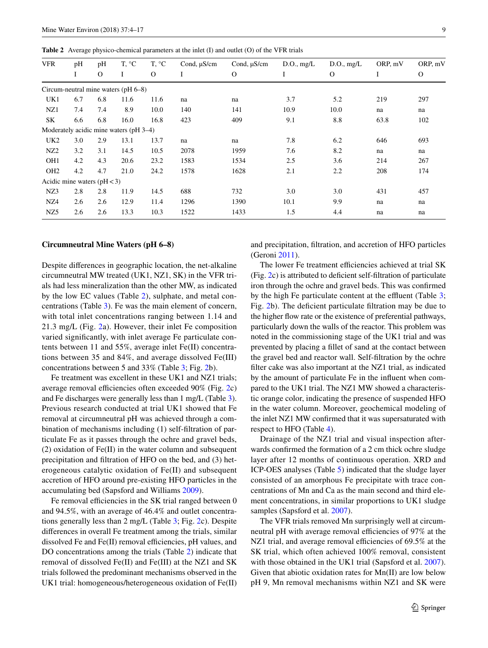<span id="page-5-0"></span>**Table 2** Average physico-chemical parameters at the inlet (I) and outlet (O) of the VFR trials

| <b>VFR</b>      | pH                            | pH           | T. °C                                  | T, °C    | Cond, µS/cm | Cond, µS/cm | D.O., mg/L | D.O., mg/L   | ORP, mV | ORP, mV      |
|-----------------|-------------------------------|--------------|----------------------------------------|----------|-------------|-------------|------------|--------------|---------|--------------|
|                 | I                             | $\mathbf{O}$ | Ι                                      | $\Omega$ | I           | $\Omega$    | I          | $\mathbf{O}$ | I       | $\mathbf{O}$ |
|                 |                               |              | Circum-neutral mine waters (pH 6-8)    |          |             |             |            |              |         |              |
| UK1             | 6.7                           | 6.8          | 11.6                                   | 11.6     | na          | na          | 3.7        | 5.2          | 219     | 297          |
| NZ1             | 7.4                           | 7.4          | 8.9                                    | 10.0     | 140         | 141         | 10.9       | 10.0         | na      | na           |
| SK              | 6.6                           | 6.8          | 16.0                                   | 16.8     | 423         | 409         | 9.1        | 8.8          | 63.8    | 102          |
|                 |                               |              | Moderately acidic mine waters (pH 3–4) |          |             |             |            |              |         |              |
| UK <sub>2</sub> | 3.0                           | 2.9          | 13.1                                   | 13.7     | na          | na          | 7.8        | 6.2          | 646     | 693          |
| NZ <sub>2</sub> | 3.2                           | 3.1          | 14.5                                   | 10.5     | 2078        | 1959        | 7.6        | 8.2          | na      | na           |
| OH <sub>1</sub> | 4.2                           | 4.3          | 20.6                                   | 23.2     | 1583        | 1534        | 2.5        | 3.6          | 214     | 267          |
| OH <sub>2</sub> | 4.2                           | 4.7          | 21.0                                   | 24.2     | 1578        | 1628        | 2.1        | 2.2          | 208     | 174          |
|                 | Acidic mine waters $(pH < 3)$ |              |                                        |          |             |             |            |              |         |              |
| NZ3             | 2.8                           | 2.8          | 11.9                                   | 14.5     | 688         | 732         | 3.0        | 3.0          | 431     | 457          |
| NZ4             | 2.6                           | 2.6          | 12.9                                   | 11.4     | 1296        | 1390        | 10.1       | 9.9          | na      | na           |
| NZ <sub>5</sub> | 2.6                           | 2.6          | 13.3                                   | 10.3     | 1522        | 1433        | 1.5        | 4.4          | na      | na           |

#### **Circumneutral Mine Waters (pH 6–8)**

Despite differences in geographic location, the net-alkaline circumneutral MW treated (UK1, NZ1, SK) in the VFR trials had less mineralization than the other MW, as indicated by the low EC values (Table [2\)](#page-5-0), sulphate, and metal concentrations (Table [3\)](#page-6-0). Fe was the main element of concern, with total inlet concentrations ranging between 1.14 and 21.3 mg/L (Fig. [2](#page-7-0)a). However, their inlet Fe composition varied significantly, with inlet average Fe particulate contents between 11 and 55%, average inlet Fe(II) concentrations between 35 and 84%, and average dissolved Fe(III) concentrations between 5 and 33% (Table [3](#page-6-0); Fig. [2](#page-7-0)b).

Fe treatment was excellent in these UK1 and NZ1 trials; average removal efficiencies often exceeded 90% (Fig. [2](#page-7-0)c) and Fe discharges were generally less than 1 mg/L (Table [3](#page-6-0)). Previous research conducted at trial UK1 showed that Fe removal at circumneutral pH was achieved through a combination of mechanisms including (1) self-filtration of particulate Fe as it passes through the ochre and gravel beds, (2) oxidation of Fe(II) in the water column and subsequent precipitation and filtration of HFO on the bed, and (3) heterogeneous catalytic oxidation of Fe(II) and subsequent accretion of HFO around pre-existing HFO particles in the accumulating bed (Sapsford and Williams [2009\)](#page-13-5).

Fe removal efficiencies in the SK trial ranged between 0 and 94.5%, with an average of 46.4% and outlet concentrations generally less than 2 mg/L (Table [3](#page-6-0); Fig. [2](#page-7-0)c). Despite differences in overall Fe treatment among the trials, similar dissolved Fe and Fe(II) removal efficiencies, pH values, and DO concentrations among the trials (Table [2\)](#page-5-0) indicate that removal of dissolved Fe(II) and Fe(III) at the NZ1 and SK trials followed the predominant mechanisms observed in the UK1 trial: homogeneous/heterogeneous oxidation of Fe(II)

and precipitation, filtration, and accretion of HFO particles (Geroni [2011](#page-12-11)).

The lower Fe treatment efficiencies achieved at trial SK (Fig. [2](#page-7-0)c) is attributed to deficient self-filtration of particulate iron through the ochre and gravel beds. This was confirmed by the high Fe particulate content at the effluent (Table [3](#page-6-0); Fig. [2](#page-7-0)b). The deficient particulate filtration may be due to the higher flow rate or the existence of preferential pathways, particularly down the walls of the reactor. This problem was noted in the commissioning stage of the UK1 trial and was prevented by placing a fillet of sand at the contact between the gravel bed and reactor wall. Self-filtration by the ochre filter cake was also important at the NZ1 trial, as indicated by the amount of particulate Fe in the influent when compared to the UK1 trial. The NZ1 MW showed a characteristic orange color, indicating the presence of suspended HFO in the water column. Moreover, geochemical modeling of the inlet NZ1 MW confirmed that it was supersaturated with respect to HFO (Table [4\)](#page-8-0).

Drainage of the NZ1 trial and visual inspection afterwards confirmed the formation of a 2 cm thick ochre sludge layer after 12 months of continuous operation. XRD and ICP-OES analyses (Table [5\)](#page-8-1) indicated that the sludge layer consisted of an amorphous Fe precipitate with trace concentrations of Mn and Ca as the main second and third element concentrations, in similar proportions to UK1 sludge samples (Sapsford et al. [2007\)](#page-13-7).

The VFR trials removed Mn surprisingly well at circumneutral pH with average removal efficiencies of 97% at the NZ1 trial, and average removal efficiencies of 69.5% at the SK trial, which often achieved 100% removal, consistent with those obtained in the UK1 trial (Sapsford et al. [2007](#page-13-7)). Given that abiotic oxidation rates for Mn(II) are low below pH 9, Mn removal mechanisms within NZ1 and SK were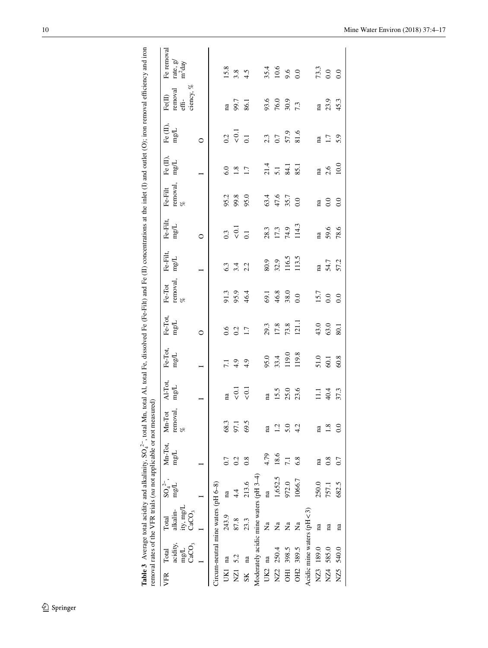| rate, g/<br>m <sup>2</sup> day<br>iency, %<br>removal,<br>Total SO <sub>4</sub> <sup>2</sup> , Mn-Tot, Mn-Tot<br>alkalin- mg/L mg/L remova<br>mg/L<br>Treum-neutral mine waters ( $pH$ $6-8$ )<br>ity, mg/L<br>CaCO <sub>3</sub><br>rcidity,<br>mg/L<br>CaCO <sub>3</sub> | Table 3 Average total acidity and alkalinity, SO <sub>4</sub> <sup>-2</sup> , total Mn, total A1, total Fe, dissolved Fe (Fe-Filt) and Fe (II) concentrations at the inlet (I) and outlet (O); iron removal efficiency and iron | removal rates of the VFR trials (na not applicable or not measured)<br>VFR Total |  |  |  |  |  |  |  | Fe removal |
|---------------------------------------------------------------------------------------------------------------------------------------------------------------------------------------------------------------------------------------------------------------------------|---------------------------------------------------------------------------------------------------------------------------------------------------------------------------------------------------------------------------------|----------------------------------------------------------------------------------|--|--|--|--|--|--|--|------------|
|                                                                                                                                                                                                                                                                           |                                                                                                                                                                                                                                 |                                                                                  |  |  |  |  |  |  |  |            |
|                                                                                                                                                                                                                                                                           |                                                                                                                                                                                                                                 |                                                                                  |  |  |  |  |  |  |  |            |
|                                                                                                                                                                                                                                                                           |                                                                                                                                                                                                                                 |                                                                                  |  |  |  |  |  |  |  |            |
|                                                                                                                                                                                                                                                                           |                                                                                                                                                                                                                                 |                                                                                  |  |  |  |  |  |  |  |            |
|                                                                                                                                                                                                                                                                           |                                                                                                                                                                                                                                 |                                                                                  |  |  |  |  |  |  |  |            |

<span id="page-6-0"></span>

|             |                                                |                                                     | $\frac{1}{2}$ . The contract of the contract of the contract of the contract of the contract of the contract of the contract of the contract of the contract of the contract of the contract of the contract of the contract of t |                        |                      |                               |                                                     |                               |                                             |                                |                                           |                                          |                                     |                                           |                                                           |                                                   |
|-------------|------------------------------------------------|-----------------------------------------------------|-----------------------------------------------------------------------------------------------------------------------------------------------------------------------------------------------------------------------------------|------------------------|----------------------|-------------------------------|-----------------------------------------------------|-------------------------------|---------------------------------------------|--------------------------------|-------------------------------------------|------------------------------------------|-------------------------------------|-------------------------------------------|-----------------------------------------------------------|---------------------------------------------------|
| VFR         | acidity,<br>mg/L<br>CaCO <sub>3</sub><br>Total | ity, mg/L<br>CaCO <sub>3</sub><br>alkalin-<br>Total | $SO_4^{2-}$ ,<br>$\mathrm{mgL}$                                                                                                                                                                                                   | Mn-Tot,<br>mg/L        | removal,<br>Mn-Tot   | Al-Tot,<br>$\rm mg/L$         | Fe-Tot,<br>mg/L                                     | Fe-Tot,<br>mg/L               | removal, $\underset{\%}{\approx}$<br>Fe-Tot | Fe-Filt,<br>$\mathrm{mg}L$     | Fe-Filt,<br>mg/L                          | removal, $% \beta$<br>$\mbox{Fe-Filt}$   | Fe (II),<br>mg/L                    | Fe (II),<br>ng/L                          | removal<br>effi-<br>ciency, $%$<br>$\mbox{Fe}(\mbox{II})$ | Fe ren<br>rate, g<br>m <sup>2</sup> day           |
|             |                                                |                                                     |                                                                                                                                                                                                                                   |                        |                      |                               |                                                     | $\circ$                       |                                             |                                | $\circ$                                   |                                          |                                     | $\circ$                                   |                                                           |                                                   |
|             |                                                | Circum-neutral mine waters (pH 6-8)                 |                                                                                                                                                                                                                                   |                        |                      |                               |                                                     |                               |                                             |                                |                                           |                                          |                                     |                                           |                                                           |                                                   |
| UK1 na      |                                                | 243.9                                               | na                                                                                                                                                                                                                                | 0.7                    |                      |                               |                                                     |                               |                                             |                                |                                           |                                          |                                     |                                           |                                                           |                                                   |
| NZ1         | 5.2                                            | 87.8                                                | 4.4                                                                                                                                                                                                                               | 0.2                    | 68.3<br>97.1<br>69.5 | $\frac{a}{6}$ 3 $\frac{1}{6}$ | $7.9$<br>4.9                                        | $0.6$<br>0.2<br>1.7           | 91.3<br>95.9<br>46.4                        | $6.3$<br>$6.4$<br>$2.2$        | $\frac{3}{\sqrt{2}}$ $\frac{1}{\sqrt{2}}$ | 95.2<br>99.50<br>95.0                    | $6.0$<br>1.3<br>1.7                 | $\frac{2}{\sqrt{3}}$ $\frac{1}{\sqrt{3}}$ | па<br>99.7<br>86.1                                        | $\begin{array}{c} 15.8 \\ 3.8 \\ 4.5 \end{array}$ |
| $S_{\rm K}$ | na                                             | 23.3                                                | 213.6                                                                                                                                                                                                                             | $\frac{8}{2}$          |                      |                               |                                                     |                               |                                             |                                |                                           |                                          |                                     |                                           |                                                           |                                                   |
|             |                                                | Moderately acidic mine waters (pH 3-4)              |                                                                                                                                                                                                                                   |                        |                      |                               |                                                     |                               |                                             |                                |                                           |                                          |                                     |                                           |                                                           |                                                   |
| UK2 na      |                                                | $\overline{a}$                                      | na                                                                                                                                                                                                                                | 4.79                   | na                   |                               |                                                     |                               |                                             |                                |                                           |                                          |                                     |                                           |                                                           |                                                   |
|             | NZ2 250.4                                      | ž                                                   | 1,652.5                                                                                                                                                                                                                           | 18.6                   |                      |                               |                                                     |                               |                                             |                                |                                           |                                          |                                     |                                           |                                                           |                                                   |
|             | OH1 398.5                                      | $\mathbf{z}$                                        | 972.0                                                                                                                                                                                                                             | 7.1                    | $1.2$<br>5.0 4.2     | na<br>15.5<br>25.0<br>23.6    | 95.0<br>33.4<br>119.0<br>119.8                      | 29.3<br>17.8<br>73.8<br>121.1 | $69.1$<br>$46.8$<br>$38.0$<br>0.0           | 80.9<br>32.9<br>116.5<br>113.5 | 28.3<br>17.3<br>14.9<br>114.3             | $63.4$<br>$47.6$<br>$35.7$<br>$0.0$      | $21.4$<br>$5.1$<br>$84.1$<br>$85.1$ | 2.3<br>0.7<br>57.9<br>81.6                | 93.6<br>76.0<br>7.3                                       | $35.4$<br>$10.6$<br>$9.6$<br>0.0                  |
|             | OH2 389.5                                      | Ž                                                   | 1066.7                                                                                                                                                                                                                            | 6.8                    |                      |                               |                                                     |                               |                                             |                                |                                           |                                          |                                     |                                           |                                                           |                                                   |
|             | Acidic mine waters $pH < 3$ )                  |                                                     |                                                                                                                                                                                                                                   |                        |                      |                               |                                                     |                               |                                             |                                |                                           |                                          |                                     |                                           |                                                           |                                                   |
|             | NZ3 189.0                                      | na                                                  | 250.0                                                                                                                                                                                                                             | $\overline{\text{na}}$ | $\mathbf{a}$         |                               |                                                     |                               |                                             |                                |                                           |                                          |                                     |                                           |                                                           |                                                   |
|             | NZ4 585.0                                      | na                                                  | 757.1                                                                                                                                                                                                                             | 0.8                    | $\infty$             | $11.1$<br>40.4<br>37.3        | $\begin{array}{c} 51.0 \\ 60.1 \\ 60.8 \end{array}$ | $43.0$<br>$63.0$<br>$80.1$    | $\frac{15.7}{0.0}$                          | na<br>54.7<br>57.2             | na<br>59.6<br>78.6                        | $\begin{array}{c} 1a \\ 0.0 \end{array}$ | $\frac{na}{2.6}$<br>10.0            | na<br>1.7<br>5.9                          | $\frac{a}{23.3}$                                          | $73.3$<br>0.0<br>0.0                              |
| NZ5         | 540.0                                          | na                                                  | 682.5                                                                                                                                                                                                                             | 0.7                    | $\tilde{a}$          |                               |                                                     |                               |                                             |                                |                                           |                                          |                                     |                                           |                                                           |                                                   |
|             |                                                |                                                     |                                                                                                                                                                                                                                   |                        |                      |                               |                                                     |                               |                                             |                                |                                           |                                          |                                     |                                           |                                                           |                                                   |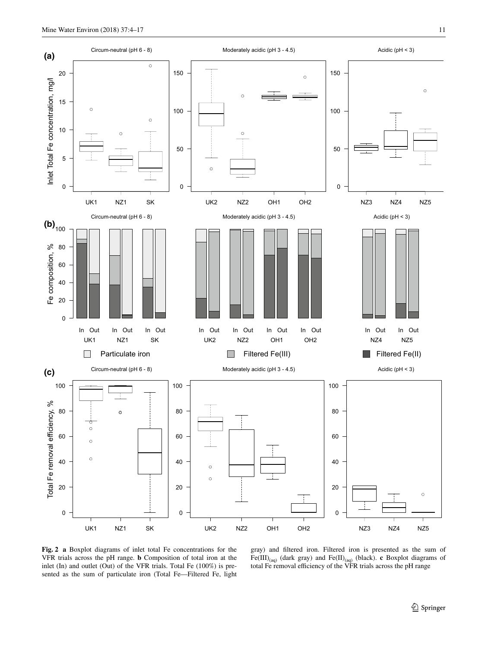$\epsilon$ 

**(a)** Circum-neutral (pH 6 - 8)

50

100

150

 $\circ$ 

 $\circ$ 

5

10

15

20





<span id="page-7-0"></span>**Fig. 2 a** Boxplot diagrams of inlet total Fe concentrations for the VFR trials across the pH range. **b** Composition of total iron at the inlet (In) and outlet (Out) of the VFR trials. Total Fe (100%) is presented as the sum of particulate iron (Total Fe—Filtered Fe, light

gray) and filtered iron. Filtered iron is presented as the sum of  $Fe(III)_{(aq)}$  (dark gray) and  $Fe(II)_{(aq)}$  (black). **c** Boxplot diagrams of total Fe removal efficiency of the VFR trials across the pH range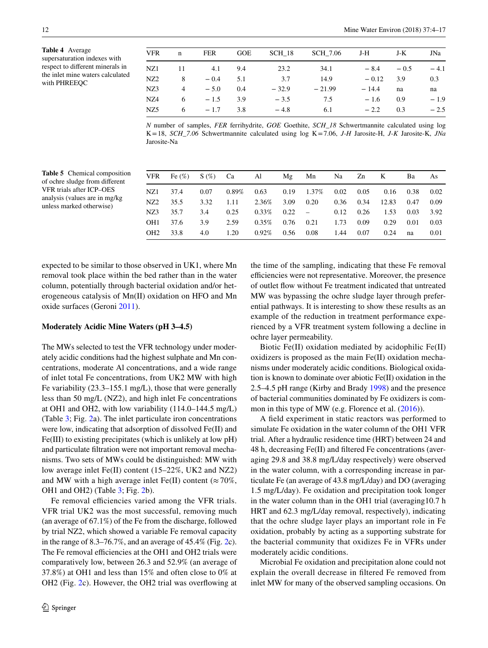<span id="page-8-0"></span>**Table 4** Average supersaturation indexes with respect to different minerals in the inlet mine waters calculated with PHREEQC

| <b>VFR</b>      | n              | FER    | <b>GOE</b> | SCH 18  | SCH 7.06 | J-H     | J-K    | JNa    |
|-----------------|----------------|--------|------------|---------|----------|---------|--------|--------|
| NZ1             | 11             | 4.1    | 9.4        | 23.2    | 34.1     | $-8.4$  | $-0.5$ | $-4.1$ |
| NZ2             | 8              | $-0.4$ | 5.1        | 3.7     | 14.9     | $-0.12$ | 3.9    | 0.3    |
| NZ3             | $\overline{4}$ | $-5.0$ | 0.4        | $-32.9$ | $-21.99$ | $-14.4$ | na     | na     |
| NZ4             | 6              | $-1.5$ | 3.9        | $-3.5$  | 7.5      | $-1.6$  | 0.9    | $-1.9$ |
| NZ <sub>5</sub> | 6              | $-1.7$ | 3.8        | $-4.8$  | 6.1      | $-2.2$  | 0.3    | $-2.5$ |

*N* number of samples, *FER* ferrihydrite, *GOE* Goethite, *SCH\_18* Schwertmannite calculated using log K=18, *SCH\_7.06* Schwertmannite calculated using log K=7.06, *J-H* Jarosite-H, *J-K* Jarosite-K, *JNa* Jarosite-Na

| VFR             |      |                   | Fe $(\%)$ S $(\%)$ Ca Al Mg Mn Na Zn K Ba                                 |                                                     |                              |  |                 |      | As   |
|-----------------|------|-------------------|---------------------------------------------------------------------------|-----------------------------------------------------|------------------------------|--|-----------------|------|------|
| NZ1             | 37.4 |                   | $0.07$ $0.89\%$ $0.63$ $0.19$ $1.37\%$ $0.02$ $0.05$ $0.16$ $0.38$ $0.02$ |                                                     |                              |  |                 |      |      |
| NZ2             | 35.5 | 3.32              | $1.11$ $2.36\%$ $3.09$ $0.20$ $0.36$ $0.34$                               |                                                     |                              |  | 12.83 0.47 0.09 |      |      |
| NZ3             | 35.7 | 3.4 0.25          |                                                                           | $0.33\%$ $0.22$ $ 0.12$ $0.26$ $1.53$ $0.03$ $3.92$ |                              |  |                 |      |      |
| OH <sub>1</sub> | 37.6 | 3.9               | 2.59                                                                      |                                                     | $0.35\%$ 0.76 0.21 1.73 0.09 |  | 0.29            | 0.01 | 0.03 |
| OH <sub>2</sub> | 33.8 | $4.0 \qquad 1.20$ |                                                                           | $0.92\%$ 0.56 0.08 1.44 0.07                        |                              |  | 0.24            | na   | 0.01 |
|                 |      |                   |                                                                           |                                                     |                              |  |                 |      |      |

<span id="page-8-1"></span>**Table 5** Chemical composition of ochre sludge from different VFR trials after ICP–OES analysis (values are in mg/kg unless marked otherwise)

expected to be similar to those observed in UK1, where Mn removal took place within the bed rather than in the water column, potentially through bacterial oxidation and/or heterogeneous catalysis of Mn(II) oxidation on HFO and Mn oxide surfaces (Geroni [2011](#page-12-11)).

#### **Moderately Acidic Mine Waters (pH 3–4.5)**

The MWs selected to test the VFR technology under moderately acidic conditions had the highest sulphate and Mn concentrations, moderate Al concentrations, and a wide range of inlet total Fe concentrations, from UK2 MW with high Fe variability (23.3–155.1 mg/L), those that were generally less than 50 mg/L (NZ2), and high inlet Fe concentrations at OH1 and OH2, with low variability (114.0–144.5 mg/L) (Table [3;](#page-6-0) Fig. [2a](#page-7-0)). The inlet particulate iron concentrations were low, indicating that adsorption of dissolved Fe(II) and Fe(III) to existing precipitates (which is unlikely at low pH) and particulate filtration were not important removal mechanisms. Two sets of MWs could be distinguished: MW with low average inlet Fe(II) content (15–22%, UK2 and NZ2) and MW with a high average inlet Fe(II) content ( $\approx 70\%$ , OH1 and OH2) (Table [3;](#page-6-0) Fig. [2b](#page-7-0)).

Fe removal efficiencies varied among the VFR trials. VFR trial UK2 was the most successful, removing much (an average of 67.1%) of the Fe from the discharge, followed by trial NZ2, which showed a variable Fe removal capacity in the range of  $8.3-76.7\%$ , and an average of  $45.4\%$  (Fig. [2c](#page-7-0)). The Fe removal efficiencies at the OH1 and OH2 trials were comparatively low, between 26.3 and 52.9% (an average of 37.8%) at OH1 and less than 15% and often close to 0% at OH2 (Fig. [2c](#page-7-0)). However, the OH2 trial was overflowing at the time of the sampling, indicating that these Fe removal efficiencies were not representative. Moreover, the presence of outlet flow without Fe treatment indicated that untreated MW was bypassing the ochre sludge layer through preferential pathways. It is interesting to show these results as an example of the reduction in treatment performance experienced by a VFR treatment system following a decline in ochre layer permeability.

Biotic Fe(II) oxidation mediated by acidophilic Fe(II) oxidizers is proposed as the main Fe(II) oxidation mechanisms under moderately acidic conditions. Biological oxidation is known to dominate over abiotic Fe(II) oxidation in the 2.5–4.5 pH range (Kirby and Brady [1998](#page-12-12)) and the presence of bacterial communities dominated by Fe oxidizers is common in this type of MW (e.g. Florence et al.  $(2016)$  $(2016)$ ).

A field experiment in static reactors was performed to simulate Fe oxidation in the water column of the OH1 VFR trial. After a hydraulic residence time (HRT) between 24 and 48 h, decreasing Fe(II) and filtered Fe concentrations (averaging 29.8 and 38.8 mg/L/day respectively) were observed in the water column, with a corresponding increase in particulate Fe (an average of 43.8 mg/L/day) and DO (averaging 1.5 mg/L/day). Fe oxidation and precipitation took longer in the water column than in the OH1 trial (averaging10.7 h HRT and 62.3 mg/L/day removal, respectively), indicating that the ochre sludge layer plays an important role in Fe oxidation, probably by acting as a supporting substrate for the bacterial community that oxidizes Fe in VFRs under moderately acidic conditions.

Microbial Fe oxidation and precipitation alone could not explain the overall decrease in filtered Fe removed from inlet MW for many of the observed sampling occasions. On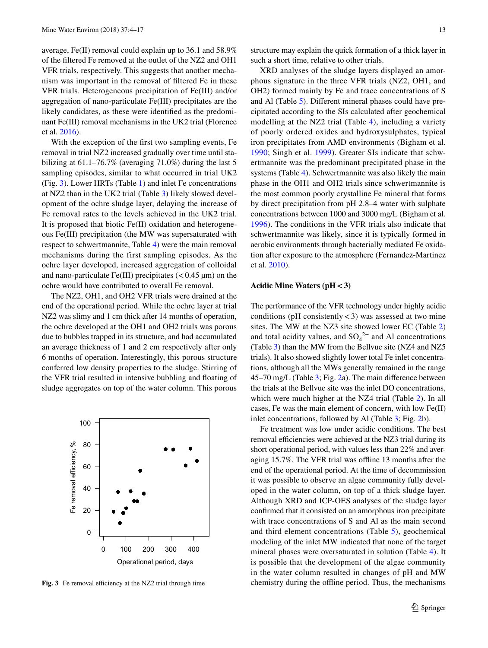average, Fe(II) removal could explain up to 36.1 and 58.9% of the filtered Fe removed at the outlet of the NZ2 and OH1 VFR trials, respectively. This suggests that another mechanism was important in the removal of filtered Fe in these VFR trials. Heterogeneous precipitation of Fe(III) and/or aggregation of nano-particulate Fe(III) precipitates are the likely candidates, as these were identified as the predominant Fe(III) removal mechanisms in the UK2 trial (Florence et al. [2016](#page-12-3)).

With the exception of the first two sampling events, Fe removal in trial NZ2 increased gradually over time until stabilizing at 61.1–76.7% (averaging 71.0%) during the last 5 sampling episodes, similar to what occurred in trial UK2 (Fig. [3\)](#page-9-0). Lower HRTs (Table [1](#page-2-0)) and inlet Fe concentrations at NZ2 than in the UK2 trial (Table [3](#page-6-0)) likely slowed development of the ochre sludge layer, delaying the increase of Fe removal rates to the levels achieved in the UK2 trial. It is proposed that biotic Fe(II) oxidation and heterogeneous Fe(III) precipitation (the MW was supersaturated with respect to schwertmannite, Table [4](#page-8-0)) were the main removal mechanisms during the first sampling episodes. As the ochre layer developed, increased aggregation of colloidal and nano-particulate Fe(III) precipitates  $(< 0.45 \mu m)$  on the ochre would have contributed to overall Fe removal.

The NZ2, OH1, and OH2 VFR trials were drained at the end of the operational period. While the ochre layer at trial NZ2 was slimy and 1 cm thick after 14 months of operation, the ochre developed at the OH1 and OH2 trials was porous due to bubbles trapped in its structure, and had accumulated an average thickness of 1 and 2 cm respectively after only 6 months of operation. Interestingly, this porous structure conferred low density properties to the sludge. Stirring of the VFR trial resulted in intensive bubbling and floating of sludge aggregates on top of the water column. This porous



<span id="page-9-0"></span>**Fig. 3** Fe removal efficiency at the NZ2 trial through time

structure may explain the quick formation of a thick layer in such a short time, relative to other trials.

XRD analyses of the sludge layers displayed an amorphous signature in the three VFR trials (NZ2, OH1, and OH2) formed mainly by Fe and trace concentrations of S and Al (Table [5](#page-8-1)). Different mineral phases could have precipitated according to the SIs calculated after geochemical modelling at the NZ2 trial (Table [4\)](#page-8-0), including a variety of poorly ordered oxides and hydroxysulphates, typical iron precipitates from AMD environments (Bigham et al. [1990;](#page-12-13) Singh et al. [1999\)](#page-13-8). Greater SIs indicate that schwertmannite was the predominant precipitated phase in the systems (Table [4](#page-8-0)). Schwertmannite was also likely the main phase in the OH1 and OH2 trials since schwertmannite is the most common poorly crystalline Fe mineral that forms by direct precipitation from pH 2.8–4 water with sulphate concentrations between 1000 and 3000 mg/L (Bigham et al. [1996\)](#page-12-10). The conditions in the VFR trials also indicate that schwertmannite was likely, since it is typically formed in aerobic environments through bacterially mediated Fe oxidation after exposure to the atmosphere (Fernandez-Martinez et al. [2010](#page-12-14)).

### **Acidic Mine Waters (pH<3)**

The performance of the VFR technology under highly acidic conditions (pH consistently  $\lt$  3) was assessed at two mine sites. The MW at the NZ3 site showed lower EC (Table [2\)](#page-5-0) and total acidity values, and  $SO_4^2$ <sup>-</sup> and Al concentrations (Table [3](#page-6-0)) than the MW from the Bellvue site (NZ4 and NZ5 trials). It also showed slightly lower total Fe inlet concentrations, although all the MWs generally remained in the range 45–70 mg/L (Table [3;](#page-6-0) Fig. [2](#page-7-0)a). The main difference between the trials at the Bellvue site was the inlet DO concentrations, which were much higher at the NZ4 trial (Table [2](#page-5-0)). In all cases, Fe was the main element of concern, with low Fe(II) inlet concentrations, followed by Al (Table [3](#page-6-0); Fig. [2](#page-7-0)b).

Fe treatment was low under acidic conditions. The best removal efficiencies were achieved at the NZ3 trial during its short operational period, with values less than 22% and averaging 15.7%. The VFR trial was offline 13 months after the end of the operational period. At the time of decommission it was possible to observe an algae community fully developed in the water column, on top of a thick sludge layer. Although XRD and ICP-OES analyses of the sludge layer confirmed that it consisted on an amorphous iron precipitate with trace concentrations of S and Al as the main second and third element concentrations (Table [5\)](#page-8-1), geochemical modeling of the inlet MW indicated that none of the target mineral phases were oversaturated in solution (Table [4](#page-8-0)). It is possible that the development of the algae community in the water column resulted in changes of pH and MW chemistry during the offline period. Thus, the mechanisms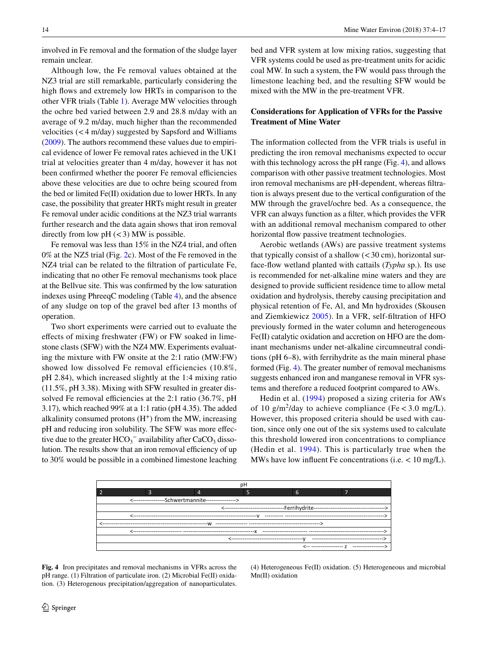involved in Fe removal and the formation of the sludge layer remain unclear.

Although low, the Fe removal values obtained at the NZ3 trial are still remarkable, particularly considering the high flows and extremely low HRTs in comparison to the other VFR trials (Table [1](#page-2-0)). Average MW velocities through the ochre bed varied between 2.9 and 28.8 m/day with an average of 9.2 m/day, much higher than the recommended velocities (<4 m/day) suggested by Sapsford and Williams [\(2009](#page-13-5)). The authors recommend these values due to empirical evidence of lower Fe removal rates achieved in the UK1 trial at velocities greater than 4 m/day, however it has not been confirmed whether the poorer Fe removal efficiencies above these velocities are due to ochre being scoured from the bed or limited Fe(II) oxidation due to lower HRTs. In any case, the possibility that greater HRTs might result in greater Fe removal under acidic conditions at the NZ3 trial warrants further research and the data again shows that iron removal directly from low  $pH \approx 3$ ) MW is possible.

Fe removal was less than 15% in the NZ4 trial, and often 0% at the NZ5 trial (Fig. [2](#page-7-0)c). Most of the Fe removed in the NZ4 trial can be related to the filtration of particulate Fe, indicating that no other Fe removal mechanisms took place at the Bellvue site. This was confirmed by the low saturation indexes using PhreeqC modeling (Table [4\)](#page-8-0), and the absence of any sludge on top of the gravel bed after 13 months of operation.

Two short experiments were carried out to evaluate the effects of mixing freshwater (FW) or FW soaked in limestone clasts (SFW) with the NZ4 MW. Experiments evaluating the mixture with FW onsite at the 2:1 ratio (MW:FW) showed low dissolved Fe removal efficiencies (10.8%, pH 2.84), which increased slightly at the 1:4 mixing ratio (11.5%, pH 3.38). Mixing with SFW resulted in greater dissolved Fe removal efficiencies at the 2:1 ratio (36.7%, pH 3.17), which reached 99% at a 1:1 ratio (pH 4.35). The added alkalinity consumed protons  $(H<sup>+</sup>)$  from the MW, increasing pH and reducing iron solubility. The SFW was more effective due to the greater  $HCO_3^-$  availability after  $CaCO_3$  dissolution. The results show that an iron removal efficiency of up to 30% would be possible in a combined limestone leaching bed and VFR system at low mixing ratios, suggesting that VFR systems could be used as pre-treatment units for acidic coal MW. In such a system, the FW would pass through the limestone leaching bed, and the resulting SFW would be mixed with the MW in the pre-treatment VFR.

## **Considerations for Application of VFRs for the Passive Treatment of Mine Water**

The information collected from the VFR trials is useful in predicting the iron removal mechanisms expected to occur with this technology across the pH range (Fig. [4](#page-10-0)), and allows comparison with other passive treatment technologies. Most iron removal mechanisms are pH-dependent, whereas filtration is always present due to the vertical configuration of the MW through the gravel/ochre bed. As a consequence, the VFR can always function as a filter, which provides the VFR with an additional removal mechanism compared to other horizontal flow passive treatment technologies.

Aerobic wetlands (AWs) are passive treatment systems that typically consist of a shallow  $(<$ 30 cm), horizontal surface-flow wetland planted with cattails (*Typha* sp.). Its use is recommended for net-alkaline mine waters and they are designed to provide sufficient residence time to allow metal oxidation and hydrolysis, thereby causing precipitation and physical retention of Fe, Al, and Mn hydroxides (Skousen and Ziemkiewicz [2005](#page-13-3)). In a VFR, self-filtration of HFO previously formed in the water column and heterogeneous Fe(II) catalytic oxidation and accretion on HFO are the dominant mechanisms under net-alkaline circumneutral conditions (pH 6–8), with ferrihydrite as the main mineral phase formed (Fig. [4\)](#page-10-0). The greater number of removal mechanisms suggests enhanced iron and manganese removal in VFR systems and therefore a reduced footprint compared to AWs.

Hedin et al. ([1994\)](#page-12-0) proposed a sizing criteria for AWs of 10  $g/m^2$ /day to achieve compliance (Fe < 3.0 mg/L). However, this proposed criteria should be used with caution, since only one out of the six systems used to calculate this threshold lowered iron concentrations to compliance (Hedin et al. [1994\)](#page-12-0). This is particularly true when the MWs have low influent Fe concentrations (i.e. < 10 mg/L).



<span id="page-10-0"></span>**Fig. 4** Iron precipitates and removal mechanisms in VFRs across the pH range. (1) Filtration of particulate iron. (2) Microbial Fe(II) oxidation. (3) Heterogenous precipitation/aggregation of nanoparticulates.

(4) Heterogeneous Fe(II) oxidation. (5) Heterogeneous and microbial Mn(II) oxidation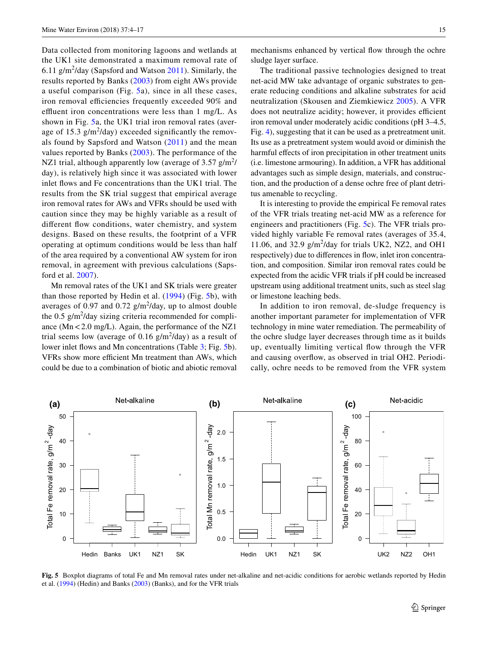Data collected from monitoring lagoons and wetlands at the UK1 site demonstrated a maximum removal rate of  $6.11 \text{ g/m}^2$ /day (Sapsford and Watson  $2011$ ). Similarly, the results reported by Banks ([2003](#page-12-15)) from eight AWs provide a useful comparison (Fig. [5a](#page-11-0)), since in all these cases, iron removal efficiencies frequently exceeded 90% and effluent iron concentrations were less than 1 mg/L. As shown in Fig. [5a](#page-11-0), the UK1 trial iron removal rates (average of 15.3  $g/m^2$ /day) exceeded significantly the removals found by Sapsford and Watson ([2011](#page-13-9)) and the mean values reported by Banks ([2003\)](#page-12-15). The performance of the NZ1 trial, although apparently low (average of 3.57  $g/m^2$ / day), is relatively high since it was associated with lower inlet flows and Fe concentrations than the UK1 trial. The results from the SK trial suggest that empirical average iron removal rates for AWs and VFRs should be used with caution since they may be highly variable as a result of different flow conditions, water chemistry, and system designs. Based on these results, the footprint of a VFR operating at optimum conditions would be less than half of the area required by a conventional AW system for iron removal, in agreement with previous calculations (Sapsford et al. [2007](#page-13-7)).

Mn removal rates of the UK1 and SK trials were greater than those reported by Hedin et al. ([1994](#page-12-0)) (Fig. [5b](#page-11-0)), with averages of 0.97 and 0.72  $g/m^2$ /day, up to almost double the  $0.5 \text{ g/m}^2$ /day sizing criteria recommended for compliance  $(Mn < 2.0$  mg/L). Again, the performance of the NZ1 trial seems low (average of 0.16  $g/m^2$ /day) as a result of lower inlet flows and Mn concentrations (Table [3](#page-6-0); Fig. [5](#page-11-0)b). VFRs show more efficient Mn treatment than AWs, which could be due to a combination of biotic and abiotic removal

mechanisms enhanced by vertical flow through the ochre sludge layer surface.

The traditional passive technologies designed to treat net-acid MW take advantage of organic substrates to generate reducing conditions and alkaline substrates for acid neutralization (Skousen and Ziemkiewicz [2005](#page-13-3)). A VFR does not neutralize acidity; however, it provides efficient iron removal under moderately acidic conditions (pH 3–4.5, Fig. [4](#page-10-0)), suggesting that it can be used as a pretreatment unit. Its use as a pretreatment system would avoid or diminish the harmful effects of iron precipitation in other treatment units (i.e. limestone armouring). In addition, a VFR has additional advantages such as simple design, materials, and construction, and the production of a dense ochre free of plant detritus amenable to recycling.

It is interesting to provide the empirical Fe removal rates of the VFR trials treating net-acid MW as a reference for engineers and practitioners (Fig. [5](#page-11-0)c). The VFR trials provided highly variable Fe removal rates (averages of 35.4, 11.06, and 32.9  $g/m^2$ /day for trials UK2, NZ2, and OH1 respectively) due to differences in flow, inlet iron concentration, and composition. Similar iron removal rates could be expected from the acidic VFR trials if pH could be increased upstream using additional treatment units, such as steel slag or limestone leaching beds.

In addition to iron removal, de-sludge frequency is another important parameter for implementation of VFR technology in mine water remediation. The permeability of the ochre sludge layer decreases through time as it builds up, eventually limiting vertical flow through the VFR and causing overflow, as observed in trial OH2. Periodically, ochre needs to be removed from the VFR system



<span id="page-11-0"></span>**Fig. 5** Boxplot diagrams of total Fe and Mn removal rates under net-alkaline and net-acidic conditions for aerobic wetlands reported by Hedin et al. [\(1994](#page-12-0)) (Hedin) and Banks ([2003\)](#page-12-15) (Banks), and for the VFR trials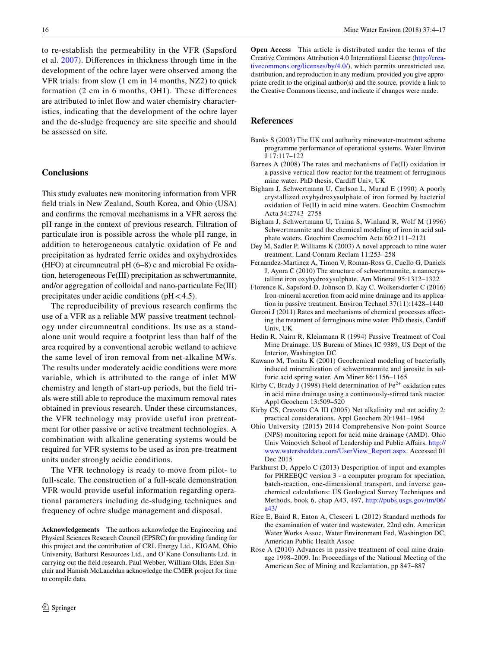to re-establish the permeability in the VFR (Sapsford et al. [2007](#page-13-7)). Differences in thickness through time in the development of the ochre layer were observed among the VFR trials: from slow (1 cm in 14 months, NZ2) to quick formation (2 cm in 6 months, OH1). These differences are attributed to inlet flow and water chemistry characteristics, indicating that the development of the ochre layer and the de-sludge frequency are site specific and should be assessed on site.

#### **Conclusions**

This study evaluates new monitoring information from VFR field trials in New Zealand, South Korea, and Ohio (USA) and confirms the removal mechanisms in a VFR across the pH range in the context of previous research. Filtration of particulate iron is possible across the whole pH range, in addition to heterogeneous catalytic oxidation of Fe and precipitation as hydrated ferric oxides and oxyhydroxides (HFO) at circumneutral pH (6–8) c and microbial Fe oxidation, heterogeneous Fe(III) precipitation as schwertmannite, and/or aggregation of colloidal and nano-particulate Fe(III) precipitates under acidic conditions ( $pH < 4.5$ ).

The reproducibility of previous research confirms the use of a VFR as a reliable MW passive treatment technology under circumneutral conditions. Its use as a standalone unit would require a footprint less than half of the area required by a conventional aerobic wetland to achieve the same level of iron removal from net-alkaline MWs. The results under moderately acidic conditions were more variable, which is attributed to the range of inlet MW chemistry and length of start-up periods, but the field trials were still able to reproduce the maximum removal rates obtained in previous research. Under these circumstances, the VFR technology may provide useful iron pretreatment for other passive or active treatment technologies. A combination with alkaline generating systems would be required for VFR systems to be used as iron pre-treatment units under strongly acidic conditions.

The VFR technology is ready to move from pilot- to full-scale. The construction of a full-scale demonstration VFR would provide useful information regarding operational parameters including de-sludging techniques and frequency of ochre sludge management and disposal.

**Acknowledgements** The authors acknowledge the Engineering and Physical Sciences Research Council (EPSRC) for providing funding for this project and the contribution of CRL Energy Ltd., KIGAM, Ohio University, Bathurst Resources Ltd., and O'Kane Consultants Ltd. in carrying out the field research. Paul Webber, William Olds, Eden Sinclair and Hamish McLauchlan acknowledge the CMER project for time to compile data.

**Open Access** This article is distributed under the terms of the Creative Commons Attribution 4.0 International License ([http://crea](http://creativecommons.org/licenses/by/4.0/)[tivecommons.org/licenses/by/4.0/\)](http://creativecommons.org/licenses/by/4.0/), which permits unrestricted use, distribution, and reproduction in any medium, provided you give appropriate credit to the original author(s) and the source, provide a link to the Creative Commons license, and indicate if changes were made.

#### **References**

- <span id="page-12-15"></span>Banks S (2003) The UK coal authority minewater-treatment scheme programme performance of operational systems. Water Environ J 17:117–122
- <span id="page-12-4"></span>Barnes A (2008) The rates and mechanisms of Fe(II) oxidation in a passive vertical flow reactor for the treatment of ferruginous mine water. PhD thesis, Cardiff Univ, UK
- <span id="page-12-13"></span>Bigham J, Schwertmann U, Carlson L, Murad E (1990) A poorly crystallized oxyhydroxysulphate of iron formed by bacterial oxidation of Fe(II) in acid mine waters. Geochim Cosmochim Acta 54:2743–2758
- <span id="page-12-10"></span>Bigham J, Schwertmann U, Traina S, Winland R, Wolf M (1996) Schwertmannite and the chemical modeling of iron in acid sulphate waters. Geochim Cosmochim Acta 60:2111–2121
- <span id="page-12-2"></span>Dey M, Sadler P, Williams K (2003) A novel approach to mine water treatment. Land Contam Reclam 11:253–258
- <span id="page-12-14"></span>Fernandez-Martinez A, Timon V, Roman-Ross G, Cuello G, Daniels J, Ayora C (2010) The structure of schwertmannite, a nanocrystalline iron oxyhydroxysulphate. Am Mineral 95:1312–1322
- <span id="page-12-3"></span>Florence K, Sapsford D, Johnson D, Kay C, Wolkersdorfer C (2016) Iron-mineral accretion from acid mine drainage and its application in passive treatment. Environ Technol 37(11):1428–1440
- <span id="page-12-11"></span>Geroni J (2011) Rates and mechanisms of chemical processes affecting the treatment of ferruginous mine water. PhD thesis, Cardiff Univ, UK
- <span id="page-12-0"></span>Hedin R, Nairn R, Kleinmann R (1994) Passive Treatment of Coal Mine Drainage. US Bureau of Mines IC 9389, US Dept of the Interior, Washington DC
- <span id="page-12-9"></span>Kawano M, Tomita K (2001) Geochemical modeling of bacterially induced mineralization of schwertmannite and jarosite in sulfuric acid spring water. Am Miner 86:1156–1165
- <span id="page-12-12"></span>Kirby C, Brady J (1998) Field determination of  $Fe<sup>2+</sup>$  oxidation rates in acid mine drainage using a continuously-stirred tank reactor. Appl Geochem 13:509–520
- <span id="page-12-7"></span>Kirby CS, Cravotta CA III (2005) Net alkalinity and net acidity 2: practical considerations. Appl Geochem 20:1941–1964
- <span id="page-12-6"></span>Ohio University (2015) 2014 Comprehensive Non-point Source (NPS) monitoring report for acid mine drainage (AMD). Ohio Univ Voinovich School of Leadership and Public Affairs. [http://](http://www.watersheddata.com/UserView_Report.aspx) [www.watersheddata.com/UserView\\_Report.aspx](http://www.watersheddata.com/UserView_Report.aspx). Accessed 01 Dec 2015
- <span id="page-12-8"></span>Parkhurst D, Appelo C (2013) Despcription of input and examples for PHREEQC version 3 - a computer program for speciation, batch-reaction, one-dimensional transport, and inverse geochemical calculations: US Geological Survey Techniques and Methods, book 6, chap A43, 497, [http://pubs.usgs.gov/tm/06/](http://pubs.usgs.gov/tm/06/a43/) [a43/](http://pubs.usgs.gov/tm/06/a43/)
- <span id="page-12-5"></span>Rice E, Baird R, Eaton A, Clesceri L (2012) Standard methods for the examination of water and wastewater, 22nd edn. American Water Works Assoc, Water Environment Fed, Washington DC, American Public Health Assoc
- <span id="page-12-1"></span>Rose A (2010) Advances in passive treatment of coal mine drainage 1998–2009. In: Proceedings of the National Meeting of the American Soc of Mining and Reclamation, pp 847–887